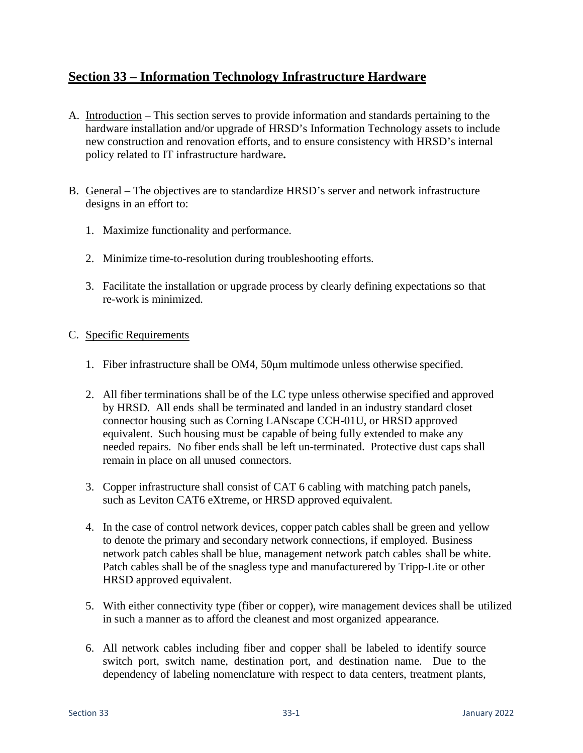## **Section 33 – Information Technology Infrastructure Hardware**

- A. Introduction This section serves to provide information and standards pertaining to the hardware installation and/or upgrade of HRSD's Information Technology assets to include new construction and renovation efforts, and to ensure consistency with HRSD's internal policy related to IT infrastructure hardware**.**
- B. General The objectives are to standardize HRSD's server and network infrastructure designs in an effort to:
	- 1. Maximize functionality and performance.
	- 2. Minimize time-to-resolution during troubleshooting efforts.
	- 3. Facilitate the installation or upgrade process by clearly defining expectations so that re-work is minimized.

## C. Specific Requirements

- 1. Fiber infrastructure shall be OM4, 50μm multimode unless otherwise specified.
- 2. All fiber terminations shall be of the LC type unless otherwise specified and approved by HRSD. All ends shall be terminated and landed in an industry standard closet connector housing such as Corning LANscape CCH-01U, or HRSD approved equivalent. Such housing must be capable of being fully extended to make any needed repairs. No fiber ends shall be left un-terminated. Protective dust caps shall remain in place on all unused connectors.
- 3. Copper infrastructure shall consist of CAT 6 cabling with matching patch panels, such as Leviton CAT6 eXtreme, or HRSD approved equivalent.
- 4. In the case of control network devices, copper patch cables shall be green and yellow to denote the primary and secondary network connections, if employed. Business network patch cables shall be blue, management network patch cables shall be white. Patch cables shall be of the snagless type and manufacturered by Tripp-Lite or other HRSD approved equivalent.
- 5. With either connectivity type (fiber or copper), wire management devices shall be utilized in such a manner as to afford the cleanest and most organized appearance.
- 6. All network cables including fiber and copper shall be labeled to identify source switch port, switch name, destination port, and destination name. Due to the dependency of labeling nomenclature with respect to data centers, treatment plants,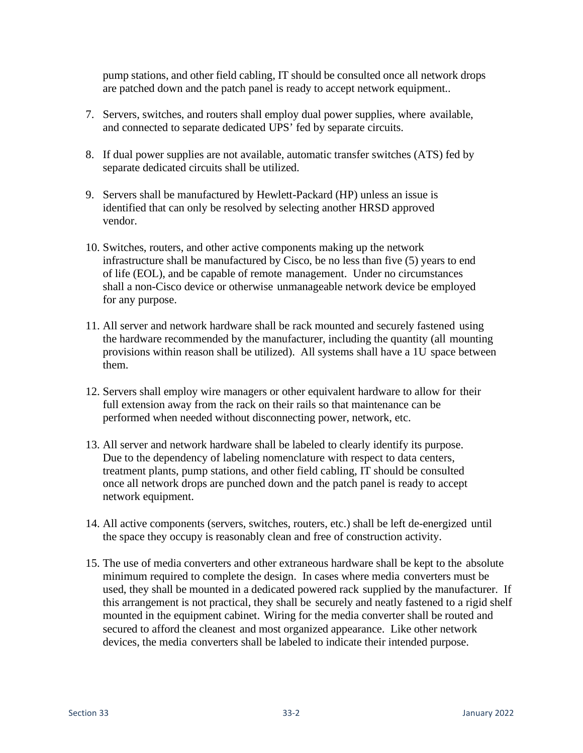pump stations, and other field cabling, IT should be consulted once all network drops are patched down and the patch panel is ready to accept network equipment..

- 7. Servers, switches, and routers shall employ dual power supplies, where available, and connected to separate dedicated UPS' fed by separate circuits.
- 8. If dual power supplies are not available, automatic transfer switches (ATS) fed by separate dedicated circuits shall be utilized.
- 9. Servers shall be manufactured by Hewlett-Packard (HP) unless an issue is identified that can only be resolved by selecting another HRSD approved vendor.
- 10. Switches, routers, and other active components making up the network infrastructure shall be manufactured by Cisco, be no less than five (5) years to end of life (EOL), and be capable of remote management. Under no circumstances shall a non-Cisco device or otherwise unmanageable network device be employed for any purpose.
- 11. All server and network hardware shall be rack mounted and securely fastened using the hardware recommended by the manufacturer, including the quantity (all mounting provisions within reason shall be utilized). All systems shall have a 1U space between them.
- 12. Servers shall employ wire managers or other equivalent hardware to allow for their full extension away from the rack on their rails so that maintenance can be performed when needed without disconnecting power, network, etc.
- 13. All server and network hardware shall be labeled to clearly identify its purpose. Due to the dependency of labeling nomenclature with respect to data centers, treatment plants, pump stations, and other field cabling, IT should be consulted once all network drops are punched down and the patch panel is ready to accept network equipment.
- 14. All active components (servers, switches, routers, etc.) shall be left de-energized until the space they occupy is reasonably clean and free of construction activity.
- 15. The use of media converters and other extraneous hardware shall be kept to the absolute minimum required to complete the design. In cases where media converters must be used, they shall be mounted in a dedicated powered rack supplied by the manufacturer. If this arrangement is not practical, they shall be securely and neatly fastened to a rigid shelf mounted in the equipment cabinet. Wiring for the media converter shall be routed and secured to afford the cleanest and most organized appearance. Like other network devices, the media converters shall be labeled to indicate their intended purpose.